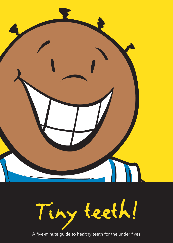

A five-minute guide to healthy teeth for the under fives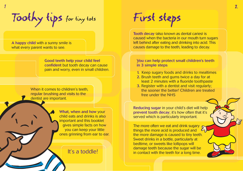Toothy tips for tiny tots  $\mathbf{1}$  and  $\mathbf{2}$  and  $\mathbf{2}$  and  $\mathbf{2}$  and  $\mathbf{2}$  and  $\mathbf{2}$  and  $\mathbf{2}$ 

A happy child with a sunny smile is what every parent wants to see.

> Good teeth help your child feel confident but tooth decay can cause pain and worry, even in small children.

When it comes to children's teeth. regular brushing and visits to the dentist are important.

> What, when and how your child eats and drinks is also important and this booklet gives simple facts on how you can keep your little ones grinning from ear to ear.

First steps

Tooth decay (also known as dental caries) is caused when the bacteria in our mouth turn sugars left behind after eating and drinking into acid. This causes damage to the teeth, leading to decay.

### You can help protect small children's teeth in 3 simple steps

- 1. Keep sugary foods and drinks to mealtimes
- 2. Brush teeth and gums twice a day for at least 2 minutes with a fluoride toothpaste
- 3. Register with a dentist and visit regularly; the sooner the better! Children are treated free under the NHS

Reducing sugar in your child's diet will help prevent tooth decay; it's how often that it's served which is particularly important.

The more often we eat and drink sugary  $\epsilon$ things the more acid is produced and  $\mathcal{L}_1$ the more damage is caused to tiny teeth. Sweet drinks in a bottle, particularly at bedtime, or sweets like lollipops will It's a toddle!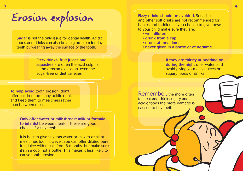# Erosion explosion

Sugar is not the only issue for dental health. Acidic foods and drinks can also be a big problem for tiny teeth by wearing away the surface of the tooth.

> Fizzy drinks, fruit juices and squashes are often the acid culprits in the erosion explosion, even the sugar-free or diet varieties.

To help avoid tooth erosion, don't offer children too many acidic drinks and keep them to mealtimes rather than between meals.

> Only offer water or milk (breast milk or formula to infants) between meals – these are good choices for tiny teeth.

It is best to give tiny tots water or milk to drink at mealtimes too. However, you can offer diluted pure fruit juice with meals from 6 months, but make sure it's in a cup, not a bottle. This makes it less likely to cause tooth erosion.

Fizzy drinks should be avoided. Squashes and other soft drinks are not recommended for babies and toddlers. If you choose to give these to your child make sure they are:

- hatıllih-llaw .
- drunk from a cup
- . drunk at mealtimes
- never given in a bottle or at bedtime.

If they are thirsty at bedtime or during the night offer water, and avoid giving your child juices or sugary foods or drinks.

Remember, the more often tots eat and drink sugary and acidic foods the more damage is caused to tiny teeth.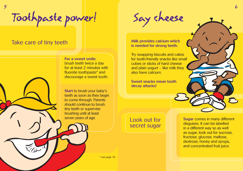Toothpaste power! Say cheese

### Take care of tiny teeth

5

For a sweet smile, brush teeth twice a day for at least 2 minutes with fluoride toothpaste\* and discourage a sweet tooth.

Start to brush your baby's teeth as soon as they begin to come through. Parents should continue to brush tiny teeth or supervise brushing until at least seven years of age.

Milk provides calcium which is needed for strong teeth.

Try swapping biscuits and cakes for tooth-friendly snacks like small cubes or sticks of hard cheese and plain yogurt  $-$  like milk they also have calcium.

Sweet snacks mean tooth decay attacks!

Look out for secret sugar Sugar comes in many different disguises. It can be labelled in a different way so as well as sugar, look out for sucrose, fructose, glucose, maltose, dextrose, honey and syrups, and concentrated fruit juice.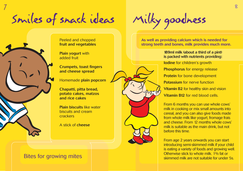Smiles of snack ideas  $7$  , and the set of the set of the set of the set of the set of the set of the set of the set of the set of the set of the set of the set of the set of the set of the set of the set of the set of the set of the set of th



Peeled and chopped fruit and vegetables

Plain yogurt with added fruit

Crumpets, toast fingers and cheese spread

Homemade plain popcorn

Chapatti, pitta bread, potato cakes, matzos and rice cakes

Plain biscuits like water biscuits and cream crackers

A stick of cheese

### Bites for growing mites

As well as providing calcium which is needed for strong teeth and bones, milk provides much more.

### 189ml milk (about a third of a pint) is packed with nutrients providing:

Iodine for children's growth Phosphorus for energy release Protein for bone development Potassium for nerve function Vitamin B2 for healthy skin and vision Vitamin B12 for red blood cells.

From 6 months you can use whole cows' milk in cooking or mix small amounts into cereal, and you can also give foods made from whole milk like yogurt, fromage frais and cheese. From 12 months whole cows' milk is suitable as the main drink, but not before this time.

From age 2 years onwards you can start introducing semi-skimmed milk if your child is eating a variety of foods and growing well. Otherwise stick to whole milk. 1% fat or skimmed milk are not suitable for under 5s.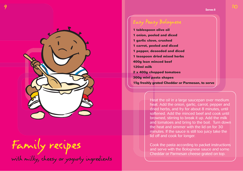

# Family recipes

with milky, cheesy or yogurty ingredients

### Easy Peasy Bolognese

**1 tablespoon olive oil 1 onion, peeled and diced 1 garlic clove, crushed 1 carrot, peeled and diced 1 pepper, deseeded and diced 1 teaspoon dried mixed herbs 400g lean minced beef 120ml milk 2 x 400g chopped tomatoes 300g mini pasta shapes 15g freshly grated Cheddar or Parmesan, to serve**

> Heat the oil in a large saucepan over medium heat. Add the onion, garlic, carrot, pepper and dried herbs, and fry for about 8 minutes, until softened. Add the minced beef and cook until browned, stirring to break it up. Add the milk and tomatoes and bring to the boil. Turn down the heat and simmer with the lid on for 30 minutes. If the sauce is still too juicy take the lid off and cook for longer.

Cook the pasta according to packet instructions and serve with the Bolognese sauce and some Cheddar or Parmesan cheese grated on top.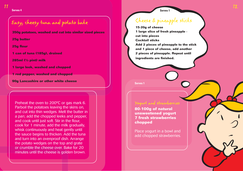Easy, cheesy tuna and potato bake

**350g potatoes, washed and cut into similar sized pieces** 

**25g butter**

**25g flour**

**1 can of tuna (185g), drained** 

**285ml (½ pint) milk**

**1 large leek, washed and chopped**

**1 red pepper, washed and chopped**

**90g Lancashire or other white cheese**

Preheat the oven to 200ºC or gas mark 6. Parboil the potatoes leaving the skins on, and cut into thin wedges. Melt the butter in a pan; add the chopped leeks and pepper, and cook until just soft. Stir in the flour, cook for 1 minute, add the milk gradually, whisk continuously and heat gently until the sauce begins to thicken. Add the tuna and turn into an ovenproof dish. Arrange the potato wedges on the top and grate or crumble the cheese over. Bake for 20 minutes until the cheese is golden brown.

### **Serves 4 Serves 1**

# Cheese & pineapple sticks

**15-20g of cheese 1 large slice of fresh pineapple cut into pieces Cocktail sticks Add 2 pieces of pineapple to the stick and 1 piece of cheese, add another 2 pieces of pineapple. Repeat until ingredients are finished.**

**Serves 1**

**80-100g of natural unsweetened yogurt 7 fresh strawberries chopped**

Place yogurt in a bowl and add chopped strawberries.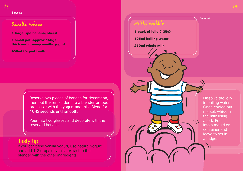**Serves 2**

## Banilla whizz

**1 large ripe banana, sliced**

**1 small pot (approx 150g) thick and creamy vanilla yogurt** 

**450ml (3 /4 pint) milk**

Reserve two pieces of banana for decoration, then put the remainder into a blender or food processor with the yogurt and milk. Blend for 10-15 seconds until smooth.

Pour into two glasses and decorate with the reserved banana.

### Tasty tip

If you can't find vanilla yogurt, use natural yogurt and add 1-2 drops of vanilla extract to the blender with the other ingredients.

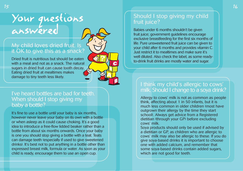# Your questions answered

### My child loves dried fruit. Is it OK to give this as a snack?

Dried fruit is nutritious but should be eaten with a meal and not as a snack. The natural sugars in dried fruit can cause tooth decay. Eating dried fruit at mealtimes makes damage to tiny teeth less likely.

### I've heard bottles are bad for teeth. When should I stop giving my baby a bottle?

It's fine to use a bottle until your baby is six months, however never leave your baby on its own with a bottle or when asleep as it could cause choking. It's a good idea to introduce a free-flow lidded beaker rather than a bottle from about six months onwards. Once your baby is one you should stop giving a bottle with a teat. Teats can damage teeth (especially if used to give sweetened drinks). It's best not to put anything in a bottle other than expressed breast milk, formula or water. As soon as your child is ready, encourage them to use an open cup.

### Should I stop giving my child fruit juice?

Babies under 6 months shouldn't be given fruit juice; government guidelines encourage exclusive breastfeeding for the first six months of life. Pure unsweetened fruit juice can be given to your child after 6 months and provides vitamin C. Just restrict it to mealtimes and make sure it's well diluted. Also check the label, as some readyto-drink fruit drinks are mostly water and sugar.

### I think my child's allergic to cows' milk. Should I change to a soya drink?

Allergy to cows' milk is not as common as people think, affecting about 1 in 50 infants, but it is much less common in older children (most have outgrown their allergy by the time they start school). Always get advice from a Registered dietitian (through your GP) before excluding cows' milk.

Soya products should only be used if advised by a dietitian or GP, as children who are allergic to cows' milk may also be allergic to these. If you do give soya-based drinks it is important to choose one with added calcium, and remember that some soya-based drinks contain added sugars, which are not good for teeth.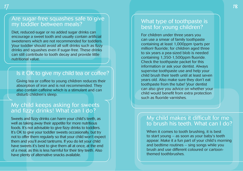### Are sugar-free squashes safe to give my toddler between meals?

Diet, reduced-sugar or no added sugar drinks can encourage a sweet tooth and usually contain artificial sweeteners which are not recommended for toddlers. Your toddler should avoid all soft drinks such as fizzy drinks and squashes even if sugar-free. These drinks can still contribute to tooth decay and provide little nutritional value.

## Is it OK to give my child tea or coffee?

Giving tea or coffee to young children reduces their absorption of iron and is not recommended. They also contain caffeine which is a stimulant and can disturb children's sleep.

### My child keeps asking for sweets and fizzy drinks! What can I do?

Sweets and fizzy drinks can harm your child's teeth, as well as taking away their appetite for more nutritious foods. It's not advisable to give fizzy drinks to toddlers. It's OK to give your toddler sweets occasionally, but try not to offer them regularly so that your child won't expect them and you'll avoid tantrums. If you do let your child have sweets it's best to give them all at once, at the end of a meal, as this is less harmful for their tiny teeth. Also have plenty of alternative snacks available.

### What type of toothpaste is best for young children?

For children under three years you can use a smear of family toothpaste containing at least 1,000ppm (parts per million) fluoride; for children aged three to six years a pea-sized blob is needed containing 1,350-1,500ppm fluoride. Check the toothpaste packet for this information or ask your dentist. Always supervise toothpaste use and help your child brush their teeth until at least seven years old. Also make sure they don't eat toothpaste from the tube! Your dentist can also give you advice on whether your child would benefit from extra protection such as fluoride varnishes.

### My child makes it difficult for me to brush his teeth. What can I do?

When it comes to tooth brushing, it is best to start young – as soon as your baby's teeth appear. Make it a fun part of your child's morning and bedtime routines – sing songs while you brush and use different coloured or cartoonthemed toothbrushes.